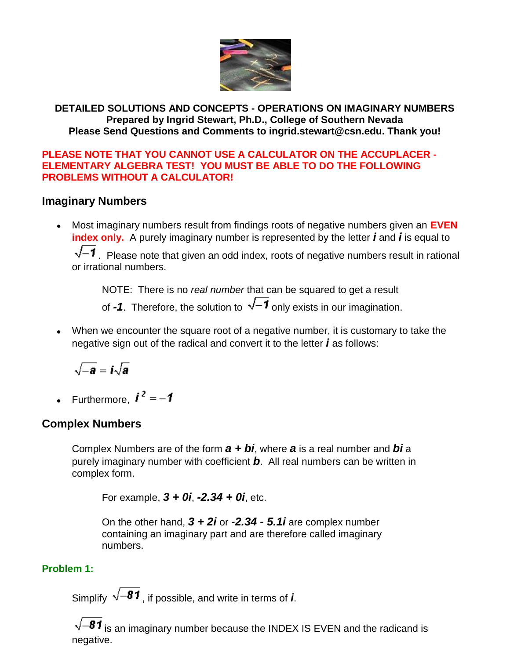

#### **DETAILED SOLUTIONS AND CONCEPTS - OPERATIONS ON IMAGINARY NUMBERS Prepared by Ingrid Stewart, Ph.D., College of Southern Nevada Please Send Questions and Comments to ingrid.stewart@csn.edu. Thank you!**

#### **PLEASE NOTE THAT YOU CANNOT USE A CALCULATOR ON THE ACCUPLACER - ELEMENTARY ALGEBRA TEST! YOU MUST BE ABLE TO DO THE FOLLOWING PROBLEMS WITHOUT A CALCULATOR!**

# **Imaginary Numbers**

Most imaginary numbers result from findings roots of negative numbers given an **EVEN**   $\bullet$ **index only.** A purely imaginary number is represented by the letter *i* and *i* is equal to

 $\sqrt{-1}$ . Please note that given an odd index, roots of negative numbers result in rational or irrational numbers.

NOTE: There is no *real number* that can be squared to get a result

of **-1**. Therefore, the solution to  $\sqrt{-1}$  only exists in our imagination.

When we encounter the square root of a negative number, it is customary to take the negative sign out of the radical and convert it to the letter *i* as follows:

$$
\sqrt{-\bm{a}}=\bm{i}\sqrt{\bm{a}}
$$

• Furthermore,  $\mathbf{i}^2 = -\mathbf{1}$ 

# **Complex Numbers**

Complex Numbers are of the form *a + bi*, where *a* is a real number and *bi* a purely imaginary number with coefficient *b*. All real numbers can be written in complex form.

For example, *3 + 0i*, *-2.34 + 0i*, etc.

On the other hand, *3 + 2i* or *-2.34 - 5.1i* are complex number containing an imaginary part and are therefore called imaginary numbers.

# **Problem 1:**

Simplify  $\sqrt{-81}$ , if possible, and write in terms of *i*.

 $\sqrt{-8}$ 1 is an imaginary number because the INDEX IS EVEN and the radicand is negative.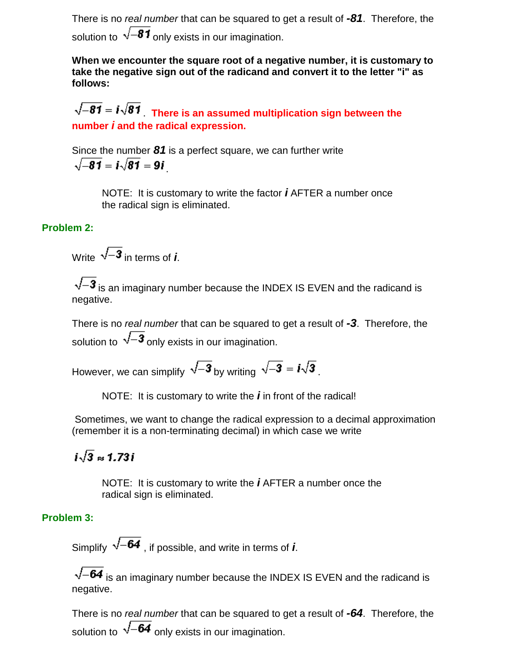There is no *real number* that can be squared to get a result of *-81*. Therefore, the solution to  $\sqrt{-81}$  only exists in our imagination.

**When we encounter the square root of a negative number, it is customary to take the negative sign out of the radicand and convert it to the letter "i" as follows:**

 $\sqrt{-81}$  =  $i\sqrt{81}$  There is an assumed multiplication sign between the **number** *i* **and the radical expression.**

Since the number *81* is a perfect square, we can further write  $\sqrt{-81} = i\sqrt{81} = 9i$ 

> NOTE: It is customary to write the factor *i* AFTER a number once the radical sign is eliminated.

#### **Problem 2:**

Write  $\sqrt{-3}$  in terms of *i*.

 $\sqrt{-3}$  is an imaginary number because the INDEX IS EVEN and the radicand is negative.

There is no *real number* that can be squared to get a result of *-3*. Therefore, the solution to  $\sqrt{-3}$  only exists in our imagination.

However, we can simplify  $\sqrt{-3}$  by writing  $\sqrt{-3} = i\sqrt{3}$ .

NOTE: It is customary to write the *i* in front of the radical!

Sometimes, we want to change the radical expression to a decimal approximation (remember it is a non-terminating decimal) in which case we write

# $i\sqrt{3} \approx 1.73i$

NOTE: It is customary to write the *i* AFTER a number once the radical sign is eliminated.

### **Problem 3:**

Simplify  $\sqrt{-64}$ , if possible, and write in terms of *i*.

 $\sqrt{-64}$  is an imaginary number because the INDEX IS EVEN and the radicand is negative.

There is no *real number* that can be squared to get a result of *-64*. Therefore, the solution to  $\sqrt{-64}$  only exists in our imagination.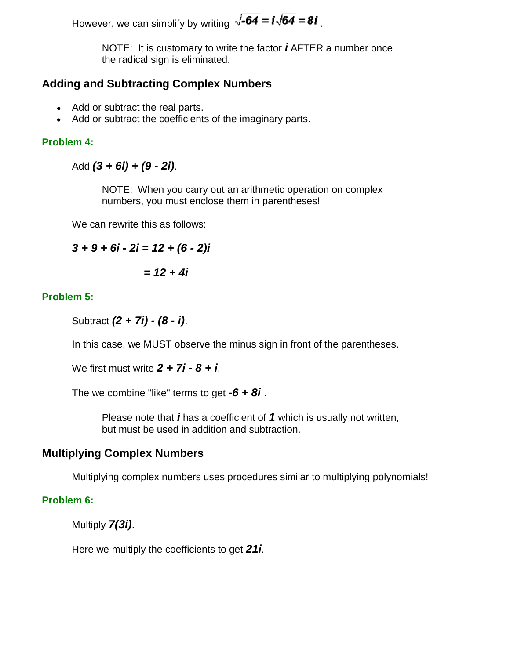However, we can simplify by writing  $\sqrt{-64} = i\sqrt{64} = 8i$ 

NOTE: It is customary to write the factor *i* AFTER a number once the radical sign is eliminated.

# **Adding and Subtracting Complex Numbers**

- Add or subtract the real parts.
- Add or subtract the coefficients of the imaginary parts.

### **Problem 4:**

Add *(3 + 6i) + (9 - 2i)*.

NOTE: When you carry out an arithmetic operation on complex numbers, you must enclose them in parentheses!

We can rewrite this as follows:

$$
3 + 9 + 6i - 2i = 12 + (6 - 2)i
$$

$$
= 12 + 4i
$$

# **Problem 5:**

Subtract *(2 + 7i) - (8 - i)*.

In this case, we MUST observe the minus sign in front of the parentheses.

We first must write *2 + 7i - 8 + i*.

The we combine "like" terms to get *-6 + 8i* .

Please note that *i* has a coefficient of *1* which is usually not written, but must be used in addition and subtraction.

# **Multiplying Complex Numbers**

Multiplying complex numbers uses procedures similar to multiplying polynomials!

### **Problem 6:**

Multiply *7(3i)*.

Here we multiply the coefficients to get *21i*.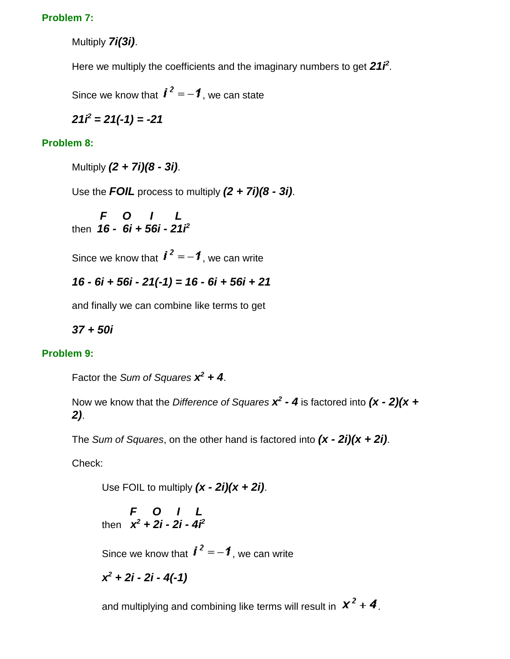#### **Problem 7:**

Multiply *7i(3i)*.

Here we multiply the coefficients and the imaginary numbers to get 21*f*<sup>2</sup>.

Since we know that  $\mathbf{i}^2 = -\mathbf{1}$ , we can state

$$
21i^2 = 21(-1) = -21
$$

### **Problem 8:**

Multiply *(2 + 7i)(8 - 3i)*.

Use the *FOIL* process to multiply *(2 + 7i)(8 - 3i)*.

$$
F = 0 + 1
$$
  
then  $16 - 6i + 56i - 21i^2$ 

Since we know that  $\mathbf{i}^2 = -\mathbf{1}$ , we can write

$$
16 - 6i + 56i - 21(-1) = 16 - 6i + 56i + 21
$$

and finally we can combine like terms to get

*37 + 50i*

#### **Problem 9:**

Factor the *Sum of Squares x <sup>2</sup> + 4*.

Now we know that the *Difference of Squares x 2 - 4* is factored into *(x - 2)(x + 2)*.

The *Sum of Squares*, on the other hand is factored into *(x - 2i)(x + 2i)*.

Check:

Use FOIL to multiply *(x - 2i)(x + 2i)*.

 *F O I L* then *x <sup>2</sup> + 2i - 2i - 4i<sup>2</sup>*

Since we know that  $\mathbf{i}^2 = -\mathbf{1}$ , we can write

*x <sup>2</sup> + 2i - 2i - 4(-1)*

and multiplying and combining like terms will result in  $x^2 + 4$ .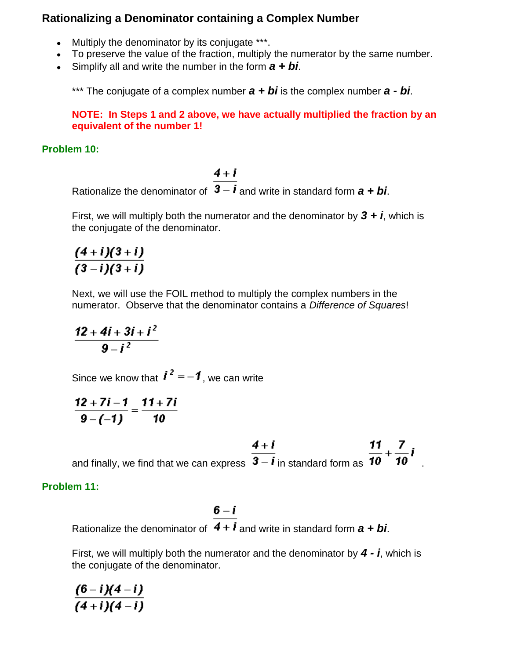# **Rationalizing a Denominator containing a Complex Number**

- Multiply the denominator by its conjugate \*\*\*.
- To preserve the value of the fraction, multiply the numerator by the same number.
- Simplify all and write the number in the form *a + bi*.

\*\*\* The conjugate of a complex number *a + bi* is the complex number *a - bi*.

**NOTE: In Steps 1 and 2 above, we have actually multiplied the fraction by an equivalent of the number 1!**

#### **Problem 10:**

Rationalize the denominator of  $\frac{4+i}{3-i}$  and write in standard form  $a + bi$ .

First, we will multiply both the numerator and the denominator by  $3 + i$ , which is the conjugate of the denominator.

$$
\frac{(4+i)(3+i)}{(3-i)(3+i)}
$$

Next, we will use the FOIL method to multiply the complex numbers in the numerator. Observe that the denominator contains a *Difference of Squares*!

$$
\frac{12+4i+3i+i^2}{9-i^2}
$$

Since we know that  $\mathbf{i}^2 = -\mathbf{1}$ , we can write

$$
\frac{12+7i-1}{9-(-1)}=\frac{11+7i}{10}
$$

and finally, we find that we can express  $\frac{4+1}{3-1}$  in standard form as  $\frac{11}{10} + \frac{7}{10}i$ 

### **Problem 11:**

Rationalize the denominator of  $\frac{6-i}{4+i}$  and write in standard form  $a + bi$ .

First, we will multiply both the numerator and the denominator by *4 - i*, which is the conjugate of the denominator.

 $\frac{(6-i)(4-i)}{(4+i)(4-i)}$